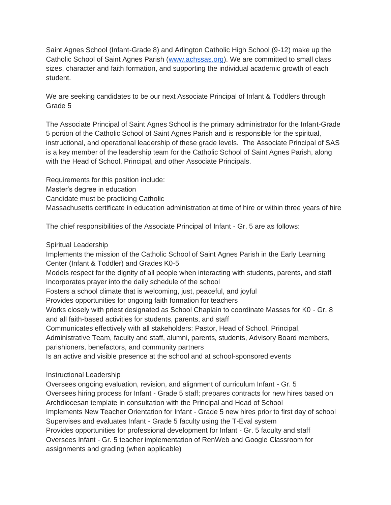Saint Agnes School (Infant-Grade 8) and Arlington Catholic High School (9-12) make up the Catholic School of Saint Agnes Parish [\(www.achssas.org\)](http://www.achssas.org/). We are committed to small class sizes, character and faith formation, and supporting the individual academic growth of each student.

We are seeking candidates to be our next Associate Principal of Infant & Toddlers through Grade 5

The Associate Principal of Saint Agnes School is the primary administrator for the Infant-Grade 5 portion of the Catholic School of Saint Agnes Parish and is responsible for the spiritual, instructional, and operational leadership of these grade levels. The Associate Principal of SAS is a key member of the leadership team for the Catholic School of Saint Agnes Parish, along with the Head of School, Principal, and other Associate Principals.

Requirements for this position include: Master's degree in education Candidate must be practicing Catholic Massachusetts certificate in education administration at time of hire or within three years of hire

The chief responsibilities of the Associate Principal of Infant - Gr. 5 are as follows:

Spiritual Leadership

Implements the mission of the Catholic School of Saint Agnes Parish in the Early Learning Center (Infant & Toddler) and Grades K0-5

Models respect for the dignity of all people when interacting with students, parents, and staff Incorporates prayer into the daily schedule of the school

Fosters a school climate that is welcoming, just, peaceful, and joyful

Provides opportunities for ongoing faith formation for teachers

Works closely with priest designated as School Chaplain to coordinate Masses for K0 - Gr. 8 and all faith-based activities for students, parents, and staff

Communicates effectively with all stakeholders: Pastor, Head of School, Principal,

Administrative Team, faculty and staff, alumni, parents, students, Advisory Board members, parishioners, benefactors, and community partners

Is an active and visible presence at the school and at school-sponsored events

## Instructional Leadership

Oversees ongoing evaluation, revision, and alignment of curriculum Infant - Gr. 5 Oversees hiring process for Infant - Grade 5 staff; prepares contracts for new hires based on Archdiocesan template in consultation with the Principal and Head of School Implements New Teacher Orientation for Infant - Grade 5 new hires prior to first day of school Supervises and evaluates Infant - Grade 5 faculty using the T-Eval system Provides opportunities for professional development for Infant - Gr. 5 faculty and staff Oversees Infant - Gr. 5 teacher implementation of RenWeb and Google Classroom for assignments and grading (when applicable)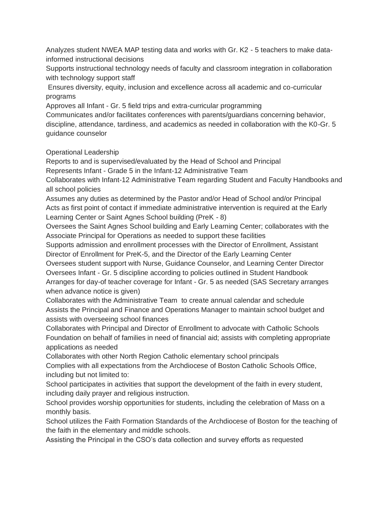Analyzes student NWEA MAP testing data and works with Gr. K2 - 5 teachers to make datainformed instructional decisions

Supports instructional technology needs of faculty and classroom integration in collaboration with technology support staff

Ensures diversity, equity, inclusion and excellence across all academic and co-curricular programs

Approves all Infant - Gr. 5 field trips and extra-curricular programming

Communicates and/or facilitates conferences with parents/guardians concerning behavior, discipline, attendance, tardiness, and academics as needed in collaboration with the K0-Gr. 5 guidance counselor

Operational Leadership

Reports to and is supervised/evaluated by the Head of School and Principal

Represents Infant - Grade 5 in the Infant-12 Administrative Team

Collaborates with Infant-12 Administrative Team regarding Student and Faculty Handbooks and all school policies

Assumes any duties as determined by the Pastor and/or Head of School and/or Principal Acts as first point of contact if immediate administrative intervention is required at the Early Learning Center or Saint Agnes School building (PreK - 8)

Oversees the Saint Agnes School building and Early Learning Center; collaborates with the Associate Principal for Operations as needed to support these facilities

Supports admission and enrollment processes with the Director of Enrollment, Assistant Director of Enrollment for PreK-5, and the Director of the Early Learning Center

Oversees student support with Nurse, Guidance Counselor, and Learning Center Director Oversees Infant - Gr. 5 discipline according to policies outlined in Student Handbook Arranges for day-of teacher coverage for Infant - Gr. 5 as needed (SAS Secretary arranges when advance notice is given)

Collaborates with the Administrative Team to create annual calendar and schedule Assists the Principal and Finance and Operations Manager to maintain school budget and assists with overseeing school finances

Collaborates with Principal and Director of Enrollment to advocate with Catholic Schools Foundation on behalf of families in need of financial aid; assists with completing appropriate applications as needed

Collaborates with other North Region Catholic elementary school principals Complies with all expectations from the Archdiocese of Boston Catholic Schools Office, including but not limited to:

School participates in activities that support the development of the faith in every student, including daily prayer and religious instruction.

School provides worship opportunities for students, including the celebration of Mass on a monthly basis.

School utilizes the Faith Formation Standards of the Archdiocese of Boston for the teaching of the faith in the elementary and middle schools.

Assisting the Principal in the CSO's data collection and survey efforts as requested